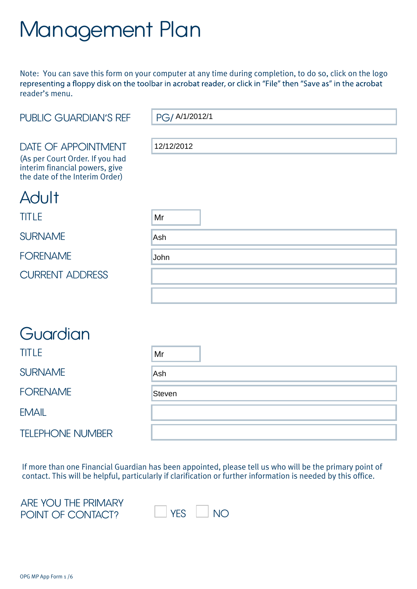# Management Plan

Note: You can save this form on your computer at any time during completion, to do so, click on the logo representing a floppy disk on the toolbar in acrobat reader, or click in "File" then "Save as" in the acrobat reader's menu.

| <b>PUBLIC GUARDIAN'S REF</b>                                     | PG/ A/1/2012/1 |
|------------------------------------------------------------------|----------------|
|                                                                  |                |
| <b>DATE OF APPOINTMENT</b><br>(As per Court Order. If you had    | 12/12/2012     |
| interim financial powers, give<br>the date of the Interim Order) |                |
| Adult                                                            |                |
| <b>TITLE</b>                                                     | Mr             |
| <b>SURNAME</b>                                                   | Ash            |
| <b>FORENAME</b>                                                  | John           |
| <b>CURRENT ADDRESS</b>                                           |                |
|                                                                  |                |
|                                                                  |                |
| Guardian                                                         |                |

| <b>TITLE</b>            | Mr            |
|-------------------------|---------------|
| <b>SURNAME</b>          | Ash           |
| <b>FORENAME</b>         | <b>Steven</b> |
| <b>EMAIL</b>            |               |
| <b>TELEPHONE NUMBER</b> |               |

If more than one Financial Guardian has been appointed, please tell us who will be the primary point of contact. This will be helpful, particularly if clarification or further information is needed by this office.

ARE YOU THE PRIMARY POINT OF CONTACT?  $\Box$  YES  $\Box$  NO

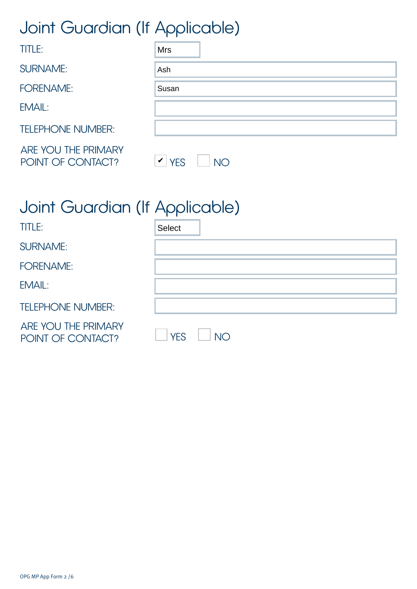# Joint Guardian (If Applicable)

| <b>TITLE:</b>                            | <b>Mrs</b>                                            |
|------------------------------------------|-------------------------------------------------------|
| <b>SURNAME:</b>                          | Ash                                                   |
| <b>FORENAME:</b>                         | Susan                                                 |
| EMAIL:                                   |                                                       |
| <b>TELEPHONE NUMBER:</b>                 |                                                       |
| ARE YOU THE PRIMARY<br>POINT OF CONTACT? | $\boldsymbol{\mathcal{V}}$<br><b>YES</b><br><b>NO</b> |

# Joint Guardian (If Applicable)

| <b>TITLE:</b>                            | <b>Select</b>                |
|------------------------------------------|------------------------------|
| <b>SURNAME:</b>                          |                              |
| <b>FORENAME:</b>                         |                              |
| EMAIL:                                   |                              |
| <b>TELEPHONE NUMBER:</b>                 |                              |
| ARE YOU THE PRIMARY<br>POINT OF CONTACT? | YES <sup></sup><br><b>NO</b> |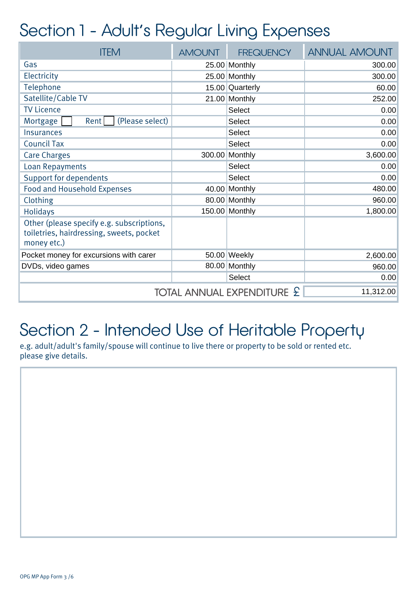### Section 1 - Adult's Regular Living Expenses

| <b>ITEM</b>                                                                                          | <b>AMOUNT</b> | <b>FREQUENCY</b> | <b>ANNUAL AMOUNT</b> |
|------------------------------------------------------------------------------------------------------|---------------|------------------|----------------------|
| Gas                                                                                                  |               | 25.00 Monthly    | 300.00               |
| Electricity                                                                                          |               | 25.00 Monthly    | 300.00               |
| Telephone                                                                                            |               | 15.00 Quarterly  | 60.00                |
| Satellite/Cable TV                                                                                   |               | 21.00 Monthly    | 252.00               |
| <b>TV Licence</b>                                                                                    |               | <b>Select</b>    | 0.00                 |
| (Please select)<br>Mortgage<br>Rent                                                                  |               | Select           | 0.00                 |
| <b>Insurances</b>                                                                                    |               | <b>Select</b>    | 0.00                 |
| <b>Council Tax</b>                                                                                   |               | <b>Select</b>    | 0.00                 |
| <b>Care Charges</b>                                                                                  | 300.00        | Monthly          | 3,600.00             |
| <b>Loan Repayments</b>                                                                               |               | <b>Select</b>    | 0.00                 |
| <b>Support for dependents</b>                                                                        |               | <b>Select</b>    | 0.00                 |
| <b>Food and Household Expenses</b>                                                                   |               | 40.00 Monthly    | 480.00               |
| Clothing                                                                                             |               | 80.00 Monthly    | 960.00               |
| <b>Holidays</b>                                                                                      |               | 150.00 Monthly   | 1,800.00             |
| Other (please specify e.g. subscriptions,<br>toiletries, hairdressing, sweets, pocket<br>money etc.) |               |                  |                      |
| Pocket money for excursions with carer                                                               |               | 50.00 Weekly     | 2,600.00             |
| DVDs, video games                                                                                    |               | 80.00 Monthly    | 960.00               |
|                                                                                                      |               | <b>Select</b>    | 0.00                 |
| TOTAL ANNUAL EXPENDITURE £<br>11,312.00                                                              |               |                  |                      |

## Section 2 - Intended Use of Heritable Property

e.g. adult/adult's family/spouse will continue to live there or property to be sold or rented etc. please give details.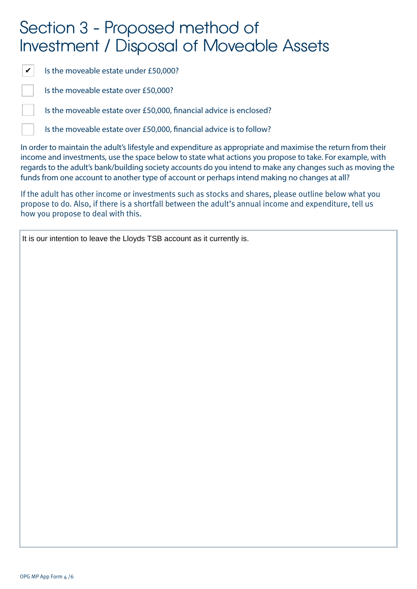### Section 3 - Proposed method of Investment / Disposal of Moveable Assets

 $\checkmark$ 

Is the moveable estate under £50,000?

Is the moveable estate over £50,000?

Is the moveable estate over £50,000, financial advice is enclosed?

Is the moveable estate over £50,000, financial advice is to follow?

In order to maintain the adult's lifestyle and expenditure as appropriate and maximise the return from their income and investments, use the space below to state what actions you propose to take. For example, with regards to the adult's bank/building society accounts do you intend to make any changes such as moving the funds from one account to another type of account or perhaps intend making no changes at all?

If the adult has other income or investments such as stocks and shares, please outline below what you propose to do. Also, if there is a shortfall between the adult's annual income and expenditure, tell us how you propose to deal with this.

It is our intention to leave the Lloyds TSB account as it currently is.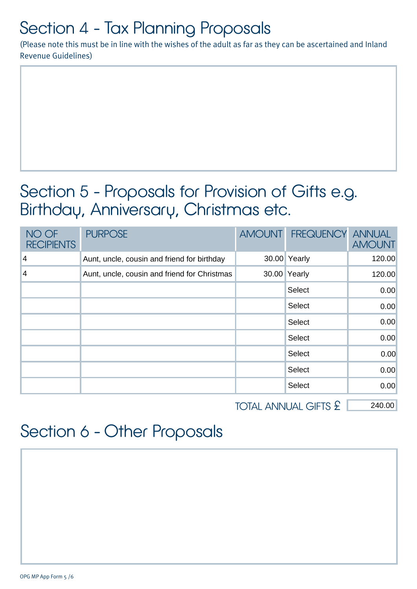# Section 4 - Tax Planning Proposals

(Please note this must be in line with the wishes of the adult as far as they can be ascertained and Inland Revenue Guidelines)

### Section 5 - Proposals for Provision of Gifts e.g. Birthday, Anniversary, Christmas etc.

| NO OF<br><b>RECIPIENTS</b> | <b>PURPOSE</b>                               | AMOUNT FREQUENCY ANNUAL | <b>AMOUNT</b> |
|----------------------------|----------------------------------------------|-------------------------|---------------|
| $\vert 4 \vert$            | Aunt, uncle, cousin and friend for birthday  | 30.00 Yearly            | 120.00        |
| $\vert 4$                  | Aunt, uncle, cousin and friend for Christmas | 30.00 Yearly            | 120.00        |
|                            |                                              | Select                  | 0.00          |
|                            |                                              | Select                  | 0.00          |
|                            |                                              | Select                  | 0.00          |
|                            |                                              | Select                  | 0.00          |
|                            |                                              | Select                  | 0.00          |
|                            |                                              | Select                  | 0.00          |
|                            |                                              | Select                  | 0.00          |

TOTAL ANNUAL GIFTS £ 240.00

## Section 6 - Other Proposals